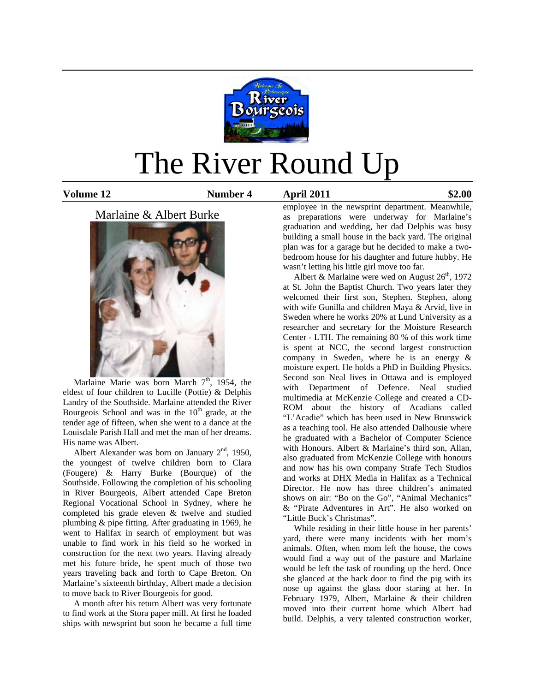

# The River Round Up

**Volume 12 Number 4 April 2011 \$2.00**

### Marlaine & Albert Burke



Marlaine Marie was born March  $7<sup>th</sup>$ , 1954, the eldest of four children to Lucille (Pottie) & Delphis Landry of the Southside. Marlaine attended the River Bourgeois School and was in the  $10<sup>th</sup>$  grade, at the tender age of fifteen, when she went to a dance at the Louisdale Parish Hall and met the man of her dreams. His name was Albert.

Albert Alexander was born on January  $2<sup>nd</sup>$ , 1950, the youngest of twelve children born to Clara (Fougere) & Harry Burke (Bourque) of the Southside. Following the completion of his schooling in River Bourgeois, Albert attended Cape Breton Regional Vocational School in Sydney, where he completed his grade eleven & twelve and studied plumbing & pipe fitting. After graduating in 1969, he went to Halifax in search of employment but was unable to find work in his field so he worked in construction for the next two years. Having already met his future bride, he spent much of those two years traveling back and forth to Cape Breton. On Marlaine's sixteenth birthday, Albert made a decision to move back to River Bourgeois for good.

 A month after his return Albert was very fortunate to find work at the Stora paper mill. At first he loaded ships with newsprint but soon he became a full time

employee in the newsprint department. Meanwhile, as preparations were underway for Marlaine's graduation and wedding, her dad Delphis was busy building a small house in the back yard. The original plan was for a garage but he decided to make a twobedroom house for his daughter and future hubby. He wasn't letting his little girl move too far.

Albert & Marlaine were wed on August  $26<sup>th</sup>$ , 1972 at St. John the Baptist Church. Two years later they welcomed their first son, Stephen. Stephen, along with wife Gunilla and children Maya & Arvid, live in Sweden where he works 20% at Lund University as a researcher and secretary for the Moisture Research Center - LTH. The remaining 80 % of this work time is spent at NCC, the second largest construction company in Sweden, where he is an energy & moisture expert. He holds a PhD in Building Physics. Second son Neal lives in Ottawa and is employed with Department of Defence. Neal studied multimedia at McKenzie College and created a CD-ROM about the history of Acadians called "L'Acadie" which has been used in New Brunswick as a teaching tool. He also attended Dalhousie where he graduated with a Bachelor of Computer Science with Honours. Albert & Marlaine's third son, Allan, also graduated from McKenzie College with honours and now has his own company Strafe Tech Studios and works at DHX Media in Halifax as a Technical Director. He now has three children's animated shows on air: "Bo on the Go", "Animal Mechanics" & "Pirate Adventures in Art". He also worked on "Little Buck's Christmas".

 While residing in their little house in her parents' yard, there were many incidents with her mom's animals. Often, when mom left the house, the cows would find a way out of the pasture and Marlaine would be left the task of rounding up the herd. Once she glanced at the back door to find the pig with its nose up against the glass door staring at her. In February 1979, Albert, Marlaine & their children moved into their current home which Albert had build. Delphis, a very talented construction worker,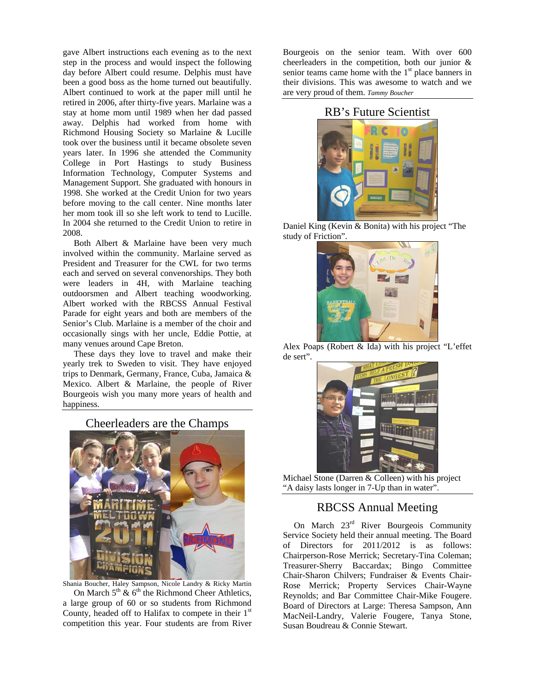gave Albert instructions each evening as to the next step in the process and would inspect the following day before Albert could resume. Delphis must have been a good boss as the home turned out beautifully. Albert continued to work at the paper mill until he retired in 2006, after thirty-five years. Marlaine was a stay at home mom until 1989 when her dad passed away. Delphis had worked from home with Richmond Housing Society so Marlaine & Lucille took over the business until it became obsolete seven years later. In 1996 she attended the Community College in Port Hastings to study Business Information Technology, Computer Systems and Management Support. She graduated with honours in 1998. She worked at the Credit Union for two years before moving to the call center. Nine months later her mom took ill so she left work to tend to Lucille. In 2004 she returned to the Credit Union to retire in 2008.

 Both Albert & Marlaine have been very much involved within the community. Marlaine served as President and Treasurer for the CWL for two terms each and served on several convenorships. They both were leaders in 4H, with Marlaine teaching outdoorsmen and Albert teaching woodworking. Albert worked with the RBCSS Annual Festival Parade for eight years and both are members of the Senior's Club. Marlaine is a member of the choir and occasionally sings with her uncle, Eddie Pottie, at many venues around Cape Breton.

 These days they love to travel and make their yearly trek to Sweden to visit. They have enjoyed trips to Denmark, Germany, France, Cuba, Jamaica & Mexico. Albert & Marlaine, the people of River Bourgeois wish you many more years of health and happiness.

Cheerleaders are the Champs



Shania Boucher, Haley Sampson, Nicole Landry & Ricky Martin On March  $5<sup>th</sup>$  &  $6<sup>th</sup>$  the Richmond Cheer Athletics, a large group of 60 or so students from Richmond County, headed off to Halifax to compete in their  $1<sup>st</sup>$ competition this year. Four students are from River

Bourgeois on the senior team. With over 600 cheerleaders in the competition, both our junior & senior teams came home with the  $1<sup>st</sup>$  place banners in their divisions. This was awesome to watch and we are very proud of them. *Tammy Boucher*

## RB's Future Scientist



Daniel King (Kevin & Bonita) with his project "The study of Friction".



Alex Poaps (Robert & Ida) with his project "L'effet de sert".



Michael Stone (Darren & Colleen) with his project "A daisy lasts longer in 7-Up than in water".

## RBCSS Annual Meeting

On March 23<sup>rd</sup> River Bourgeois Community Service Society held their annual meeting. The Board of Directors for 2011/2012 is as follows: Chairperson-Rose Merrick; Secretary-Tina Coleman; Treasurer-Sherry Baccardax; Bingo Committee Chair-Sharon Chilvers; Fundraiser & Events Chair-Rose Merrick; Property Services Chair-Wayne Reynolds; and Bar Committee Chair-Mike Fougere. Board of Directors at Large: Theresa Sampson, Ann MacNeil-Landry, Valerie Fougere, Tanya Stone, Susan Boudreau & Connie Stewart.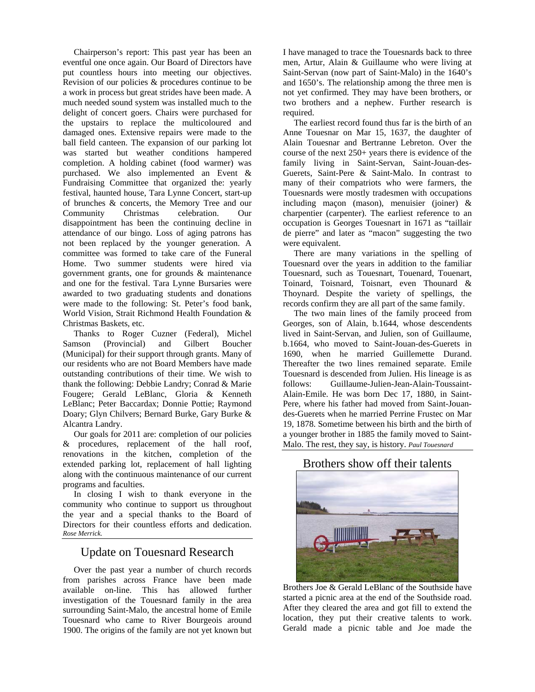Chairperson's report: This past year has been an eventful one once again. Our Board of Directors have put countless hours into meeting our objectives. Revision of our policies & procedures continue to be a work in process but great strides have been made. A much needed sound system was installed much to the delight of concert goers. Chairs were purchased for the upstairs to replace the multicoloured and damaged ones. Extensive repairs were made to the ball field canteen. The expansion of our parking lot was started but weather conditions hampered completion. A holding cabinet (food warmer) was purchased. We also implemented an Event & Fundraising Committee that organized the: yearly festival, haunted house, Tara Lynne Concert, start-up of brunches & concerts, the Memory Tree and our Community Christmas celebration. Our disappointment has been the continuing decline in attendance of our bingo. Loss of aging patrons has not been replaced by the younger generation. A committee was formed to take care of the Funeral Home. Two summer students were hired via government grants, one for grounds & maintenance and one for the festival. Tara Lynne Bursaries were awarded to two graduating students and donations were made to the following: St. Peter's food bank, World Vision, Strait Richmond Health Foundation & Christmas Baskets, etc.

 Thanks to Roger Cuzner (Federal), Michel Samson (Provincial) and Gilbert Boucher (Municipal) for their support through grants. Many of our residents who are not Board Members have made outstanding contributions of their time. We wish to thank the following: Debbie Landry; Conrad & Marie Fougere; Gerald LeBlanc, Gloria & Kenneth LeBlanc; Peter Baccardax; Donnie Pottie; Raymond Doary; Glyn Chilvers; Bernard Burke, Gary Burke & Alcantra Landry.

 Our goals for 2011 are: completion of our policies & procedures, replacement of the hall roof, renovations in the kitchen, completion of the extended parking lot, replacement of hall lighting along with the continuous maintenance of our current programs and faculties.

 In closing I wish to thank everyone in the community who continue to support us throughout the year and a special thanks to the Board of Directors for their countless efforts and dedication. *Rose Merrick.*

## Update on Touesnard Research

 Over the past year a number of church records from parishes across France have been made available on-line. This has allowed further investigation of the Touesnard family in the area surrounding Saint-Malo, the ancestral home of Emile Touesnard who came to River Bourgeois around 1900. The origins of the family are not yet known but I have managed to trace the Touesnards back to three men, Artur, Alain & Guillaume who were living at Saint-Servan (now part of Saint-Malo) in the 1640's and 1650's. The relationship among the three men is not yet confirmed. They may have been brothers, or two brothers and a nephew. Further research is required.

 The earliest record found thus far is the birth of an Anne Touesnar on Mar 15, 1637, the daughter of Alain Touesnar and Bertranne Lebreton. Over the course of the next 250+ years there is evidence of the family living in Saint-Servan, Saint-Jouan-des-Guerets, Saint-Pere & Saint-Malo. In contrast to many of their compatriots who were farmers, the Touesnards were mostly tradesmen with occupations including maçon (mason), menuisier (joiner) & charpentier (carpenter). The earliest reference to an occupation is Georges Touesnart in 1671 as "taillair de pierre" and later as "macon" suggesting the two were equivalent.

 There are many variations in the spelling of Touesnard over the years in addition to the familiar Touesnard, such as Touesnart, Touenard, Touenart, Toinard, Toisnard, Toisnart, even Thounard & Thoynard. Despite the variety of spellings, the records confirm they are all part of the same family.

 The two main lines of the family proceed from Georges, son of Alain, b.1644, whose descendents lived in Saint-Servan, and Julien, son of Guillaume, b.1664, who moved to Saint-Jouan-des-Guerets in 1690, when he married Guillemette Durand. Thereafter the two lines remained separate. Emile Touesnard is descended from Julien. His lineage is as follows: Guillaume-Julien-Jean-Alain-Toussaint-Alain-Emile. He was born Dec 17, 1880, in Saint-Pere, where his father had moved from Saint-Jouandes-Guerets when he married Perrine Frustec on Mar 19, 1878. Sometime between his birth and the birth of a younger brother in 1885 the family moved to Saint-Malo. The rest, they say, is history. *Paul Touesnard* 

#### Brothers show off their talents



Brothers Joe & Gerald LeBlanc of the Southside have started a picnic area at the end of the Southside road. After they cleared the area and got fill to extend the location, they put their creative talents to work. Gerald made a picnic table and Joe made the